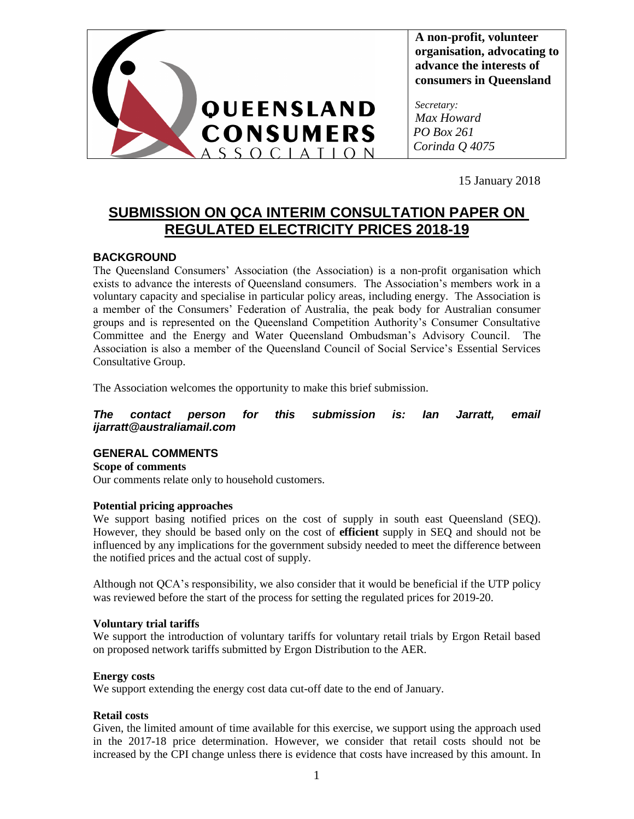

**A non-profit, volunteer organisation, advocating to advance the interests of consumers in Queensland**

*Secretary: Max Howard PO Box 261 Corinda Q 4075*

15 January 2018

# **SUBMISSION ON QCA INTERIM CONSULTATION PAPER ON REGULATED ELECTRICITY PRICES 2018-19**

## **BACKGROUND**

The Queensland Consumers' Association (the Association) is a non-profit organisation which exists to advance the interests of Queensland consumers. The Association's members work in a voluntary capacity and specialise in particular policy areas, including energy. The Association is a member of the Consumers' Federation of Australia, the peak body for Australian consumer groups and is represented on the Queensland Competition Authority's Consumer Consultative Committee and the Energy and Water Queensland Ombudsman's Advisory Council. The Association is also a member of the Queensland Council of Social Service's Essential Services Consultative Group.

The Association welcomes the opportunity to make this brief submission.

*The contact person for this submission is: Ian Jarratt, email ijarratt@australiamail.com*

## **GENERAL COMMENTS**

**Scope of comments** Our comments relate only to household customers.

## **Potential pricing approaches**

We support basing notified prices on the cost of supply in south east Queensland (SEQ). However, they should be based only on the cost of **efficient** supply in SEQ and should not be influenced by any implications for the government subsidy needed to meet the difference between the notified prices and the actual cost of supply.

Although not QCA's responsibility, we also consider that it would be beneficial if the UTP policy was reviewed before the start of the process for setting the regulated prices for 2019-20.

### **Voluntary trial tariffs**

We support the introduction of voluntary tariffs for voluntary retail trials by Ergon Retail based on proposed network tariffs submitted by Ergon Distribution to the AER.

### **Energy costs**

We support extending the energy cost data cut-off date to the end of January.

## **Retail costs**

Given, the limited amount of time available for this exercise, we support using the approach used in the 2017-18 price determination. However, we consider that retail costs should not be increased by the CPI change unless there is evidence that costs have increased by this amount. In